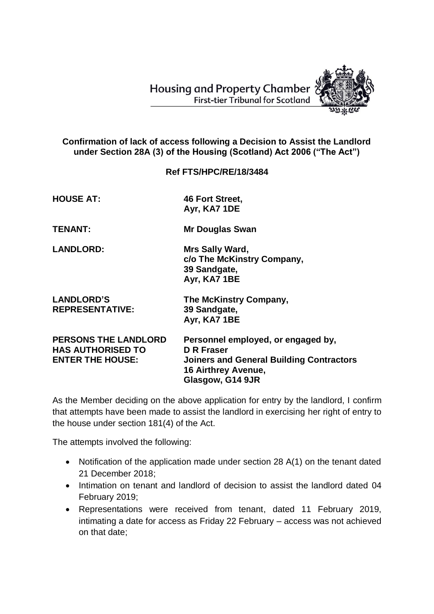**Housing and Property Chamber First-tier Tribunal for Scotland** 



## **Confirmation of lack of access following a Decision to Assist the Landlord under Section 28A (3) of the Housing (Scotland) Act 2006 ("The Act")**

## **Ref FTS/HPC/RE/18/3484**

| <b>HOUSE AT:</b>                                                                   | 46 Fort Street,<br>Ayr, KA7 1DE                                                                                                                       |
|------------------------------------------------------------------------------------|-------------------------------------------------------------------------------------------------------------------------------------------------------|
| <b>TENANT:</b>                                                                     | <b>Mr Douglas Swan</b>                                                                                                                                |
| <b>LANDLORD:</b>                                                                   | Mrs Sally Ward,<br>c/o The McKinstry Company,<br>39 Sandgate,<br>Ayr, KA7 1BE                                                                         |
| <b>LANDLORD'S</b><br><b>REPRESENTATIVE:</b>                                        | The McKinstry Company,<br>39 Sandgate,<br>Ayr, KA7 1BE                                                                                                |
| <b>PERSONS THE LANDLORD</b><br><b>HAS AUTHORISED TO</b><br><b>ENTER THE HOUSE:</b> | Personnel employed, or engaged by,<br>D R Fraser<br><b>Joiners and General Building Contractors</b><br><b>16 Airthrey Avenue,</b><br>Glasgow, G14 9JR |

As the Member deciding on the above application for entry by the landlord, I confirm that attempts have been made to assist the landlord in exercising her right of entry to the house under section 181(4) of the Act.

The attempts involved the following:

- Notification of the application made under section 28 A(1) on the tenant dated 21 December 2018;
- Intimation on tenant and landlord of decision to assist the landlord dated 04 February 2019;
- Representations were received from tenant, dated 11 February 2019, intimating a date for access as Friday 22 February – access was not achieved on that date;